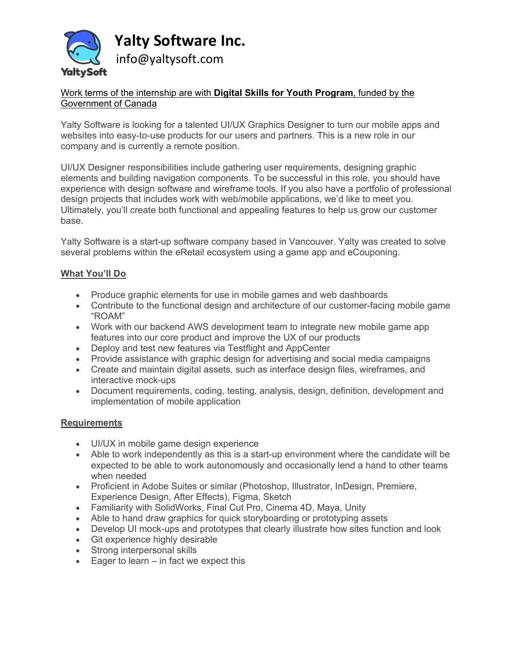

## Work terms of the internship are with **Digital Skills for Youth Program**, funded by the Government of Canada

Yalty Software is looking for a talented UI/UX Graphics Designer to turn our mobile apps and websites into easy-to-use products for our users and partners. This is a new role in our company and is currently a remote position.

UI/UX Designer responsibilities include gathering user requirements, designing graphic elements and building navigation components. To be successful in this role, you should have experience with design software and wireframe tools. If you also have a portfolio of professional design projects that includes work with web/mobile applications, we'd like to meet you. Ultimately, you'll create both functional and appealing features to help us grow our customer base.

Yalty Software is a start-up software company based in Vancouver. Yalty was created to solve several problems within the eRetail ecosystem using a game app and eCouponing.

## **What You'll Do**

- Produce graphic elements for use in mobile games and web dashboards
- Contribute to the functional design and architecture of our customer-facing mobile game "ROAM"
- Work with our backend AWS development team to integrate new mobile game app features into our core product and improve the UX of our products
- Deploy and test new features via Testflight and AppCenter
- Provide assistance with graphic design for advertising and social media campaigns
- Create and maintain digital assets, such as interface design files, wireframes, and interactive mock-ups
- Document requirements, coding, testing, analysis, design, definition, development and implementation of mobile application

## **Requirements**

- UI/UX in mobile game design experience
- Able to work independently as this is a start-up environment where the candidate will be expected to be able to work autonomously and occasionally lend a hand to other teams when needed
- Proficient in Adobe Suites or similar (Photoshop, Illustrator, InDesign, Premiere, Experience Design, After Effects), Figma, Sketch
- Familiarity with SolidWorks, Final Cut Pro, Cinema 4D, Maya, Unity
- Able to hand draw graphics for quick storyboarding or prototyping assets
- Develop UI mock-ups and prototypes that clearly illustrate how sites function and look
- Git experience highly desirable
- Strong interpersonal skills
- Eager to learn in fact we expect this